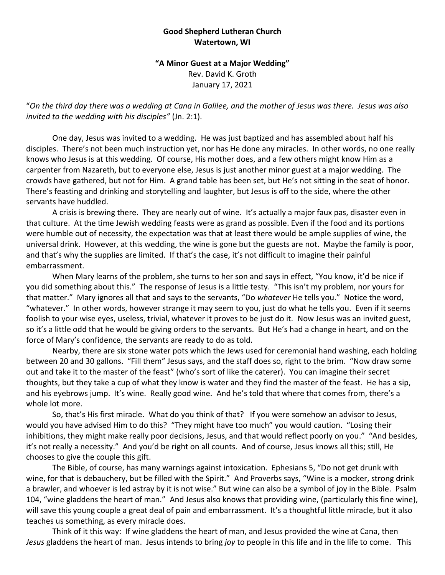## **Good Shepherd Lutheran Church Watertown, WI**

## **"A Minor Guest at a Major Wedding"** Rev. David K. Groth January 17, 2021

"*On the third day there was a wedding at Cana in Galilee, and the mother of Jesus was there. Jesus was also invited to the wedding with his disciples"* (Jn. 2:1).

One day, Jesus was invited to a wedding. He was just baptized and has assembled about half his disciples. There's not been much instruction yet, nor has He done any miracles. In other words, no one really knows who Jesus is at this wedding. Of course, His mother does, and a few others might know Him as a carpenter from Nazareth, but to everyone else, Jesus is just another minor guest at a major wedding. The crowds have gathered, but not for Him. A grand table has been set, but He's not sitting in the seat of honor. There's feasting and drinking and storytelling and laughter, but Jesus is off to the side, where the other servants have huddled.

A crisis is brewing there. They are nearly out of wine. It's actually a major faux pas, disaster even in that culture. At the time Jewish wedding feasts were as grand as possible. Even if the food and its portions were humble out of necessity, the expectation was that at least there would be ample supplies of wine, the universal drink. However, at this wedding, the wine is gone but the guests are not. Maybe the family is poor, and that's why the supplies are limited. If that's the case, it's not difficult to imagine their painful embarrassment.

When Mary learns of the problem, she turns to her son and says in effect, "You know, it'd be nice if you did something about this." The response of Jesus is a little testy. "This isn't my problem, nor yours for that matter." Mary ignores all that and says to the servants, "Do *whatever* He tells you." Notice the word, "whatever." In other words, however strange it may seem to you, just do what he tells you. Even if it seems foolish to your wise eyes, useless, trivial, whatever it proves to be just do it. Now Jesus was an invited guest, so it's a little odd that he would be giving orders to the servants. But He's had a change in heart, and on the force of Mary's confidence, the servants are ready to do as told.

Nearby, there are six stone water pots which the Jews used for ceremonial hand washing, each holding between 20 and 30 gallons. "Fill them" Jesus says, and the staff does so, right to the brim. "Now draw some out and take it to the master of the feast" (who's sort of like the caterer). You can imagine their secret thoughts, but they take a cup of what they know is water and they find the master of the feast. He has a sip, and his eyebrows jump. It's wine. Really good wine. And he's told that where that comes from, there's a whole lot more.

So, that's His first miracle. What do you think of that? If you were somehow an advisor to Jesus, would you have advised Him to do this? "They might have too much" you would caution. "Losing their inhibitions, they might make really poor decisions, Jesus, and that would reflect poorly on you." "And besides, it's not really a necessity." And you'd be right on all counts. And of course, Jesus knows all this; still, He chooses to give the couple this gift.

The Bible, of course, has many warnings against intoxication. Ephesians 5, "Do not get drunk with wine, for that is debauchery, but be filled with the Spirit." And Proverbs says, "Wine is a mocker, strong drink a brawler, and whoever is led astray by it is not wise." But wine can also be a symbol of joy in the Bible. Psalm 104, "wine gladdens the heart of man." And Jesus also knows that providing wine, (particularly this fine wine), will save this young couple a great deal of pain and embarrassment. It's a thoughtful little miracle, but it also teaches us something, as every miracle does.

Think of it this way: If wine gladdens the heart of man, and Jesus provided the wine at Cana, then *Jesus* gladdens the heart of man. Jesus intends to bring *joy* to people in this life and in the life to come. This